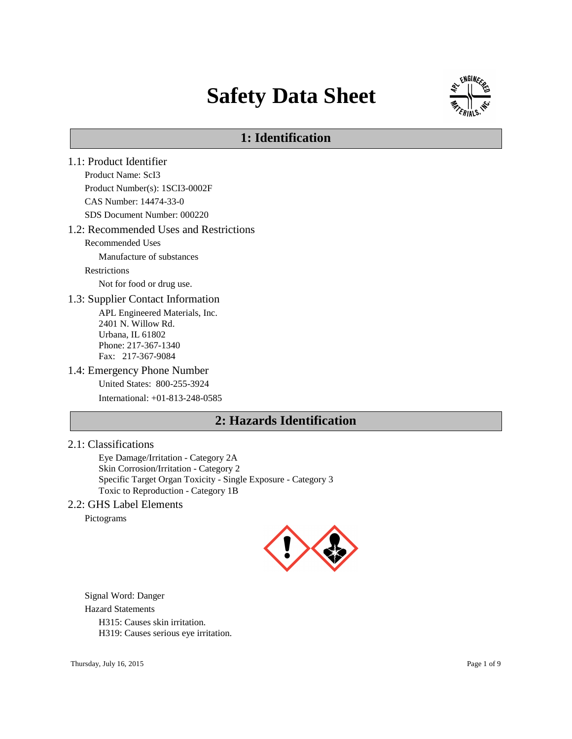# **Safety Data Sheet**



# **1: Identification**

1.1: Product Identifier Product Name: ScI3 Product Number(s): 1SCI3-0002F CAS Number: 14474-33-0 SDS Document Number: 000220 1.2: Recommended Uses and Restrictions Recommended Uses Manufacture of substances Restrictions Not for food or drug use. 1.3: Supplier Contact Information APL Engineered Materials, Inc. 2401 N. Willow Rd. Urbana, IL 61802 Phone: 217-367-1340 Fax: 217-367-9084 1.4: Emergency Phone Number United States: 800-255-3924 International: +01-813-248-0585 **2: Hazards Identification**

#### 2.1: Classifications

Eye Damage/Irritation - Category 2A Skin Corrosion/Irritation - Category 2 Specific Target Organ Toxicity - Single Exposure - Category 3 Toxic to Reproduction - Category 1B

#### 2.2: GHS Label Elements

Pictograms



Signal Word: Danger Hazard Statements H315: Causes skin irritation. H319: Causes serious eye irritation.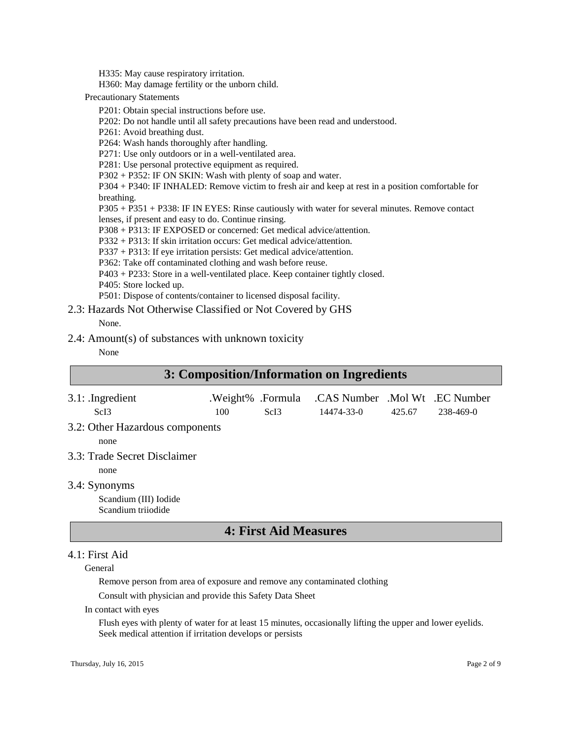H335: May cause respiratory irritation.

H360: May damage fertility or the unborn child.

Precautionary Statements

P201: Obtain special instructions before use.

P202: Do not handle until all safety precautions have been read and understood.

P261: Avoid breathing dust.

P264: Wash hands thoroughly after handling.

P271: Use only outdoors or in a well-ventilated area.

P281: Use personal protective equipment as required.

P302 + P352: IF ON SKIN: Wash with plenty of soap and water.

P304 + P340: IF INHALED: Remove victim to fresh air and keep at rest in a position comfortable for breathing.

P305 + P351 + P338: IF IN EYES: Rinse cautiously with water for several minutes. Remove contact lenses, if present and easy to do. Continue rinsing.

P308 + P313: IF EXPOSED or concerned: Get medical advice/attention.

P332 + P313: If skin irritation occurs: Get medical advice/attention.

P337 + P313: If eye irritation persists: Get medical advice/attention.

P362: Take off contaminated clothing and wash before reuse.

P403 + P233: Store in a well-ventilated place. Keep container tightly closed.

P405: Store locked up.

P501: Dispose of contents/container to licensed disposal facility.

2.3: Hazards Not Otherwise Classified or Not Covered by GHS None.

# 2.4: Amount(s) of substances with unknown toxicity

#### None

| 3: Composition/Information on Ingredients                    |     |                                       |                                              |        |           |
|--------------------------------------------------------------|-----|---------------------------------------|----------------------------------------------|--------|-----------|
| $3.1:$ Ingredient<br>ScI <sub>3</sub>                        | 100 | .Weight% .Formula<br>ScI <sub>3</sub> | .CAS Number .Mol Wt .EC Number<br>14474-33-0 | 425.67 | 238-469-0 |
| 3.2: Other Hazardous components<br>none                      |     |                                       |                                              |        |           |
| 3.3: Trade Secret Disclaimer<br>none                         |     |                                       |                                              |        |           |
| 3.4: Synonyms<br>Scandium (III) Iodide<br>Scandium trijodide |     |                                       |                                              |        |           |
|                                                              |     |                                       |                                              |        |           |

#### **4: First Aid Measures**

#### 4.1: First Aid

General

Remove person from area of exposure and remove any contaminated clothing

Consult with physician and provide this Safety Data Sheet

In contact with eyes

Flush eyes with plenty of water for at least 15 minutes, occasionally lifting the upper and lower eyelids. Seek medical attention if irritation develops or persists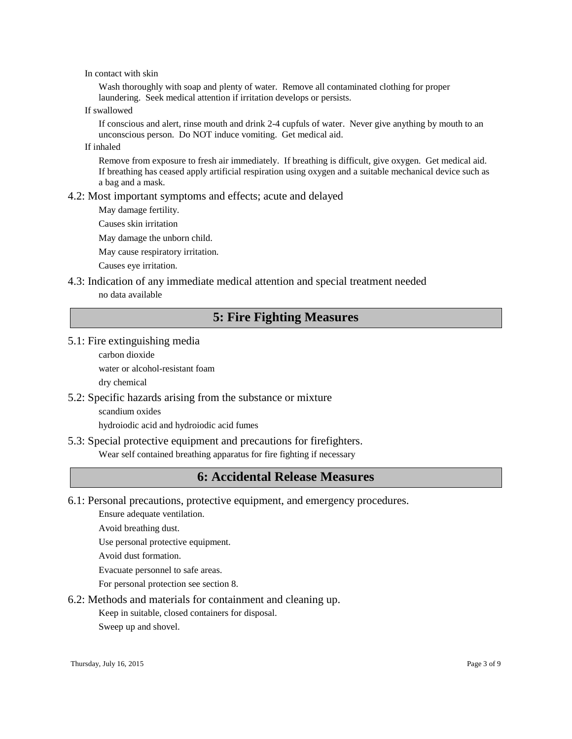In contact with skin

Wash thoroughly with soap and plenty of water. Remove all contaminated clothing for proper laundering. Seek medical attention if irritation develops or persists.

If swallowed

If conscious and alert, rinse mouth and drink 2-4 cupfuls of water. Never give anything by mouth to an unconscious person. Do NOT induce vomiting. Get medical aid.

If inhaled

Remove from exposure to fresh air immediately. If breathing is difficult, give oxygen. Get medical aid. If breathing has ceased apply artificial respiration using oxygen and a suitable mechanical device such as a bag and a mask.

#### 4.2: Most important symptoms and effects; acute and delayed

May damage fertility.

Causes skin irritation

May damage the unborn child.

May cause respiratory irritation.

Causes eye irritation.

#### 4.3: Indication of any immediate medical attention and special treatment needed no data available

# **5: Fire Fighting Measures**

#### 5.1: Fire extinguishing media

carbon dioxide

water or alcohol-resistant foam

dry chemical

#### 5.2: Specific hazards arising from the substance or mixture

scandium oxides

hydroiodic acid and hydroiodic acid fumes

#### 5.3: Special protective equipment and precautions for firefighters.

Wear self contained breathing apparatus for fire fighting if necessary

# **6: Accidental Release Measures**

6.1: Personal precautions, protective equipment, and emergency procedures.

Ensure adequate ventilation.

Avoid breathing dust.

Use personal protective equipment.

Avoid dust formation.

Evacuate personnel to safe areas.

For personal protection see section 8.

6.2: Methods and materials for containment and cleaning up.

Keep in suitable, closed containers for disposal.

Sweep up and shovel.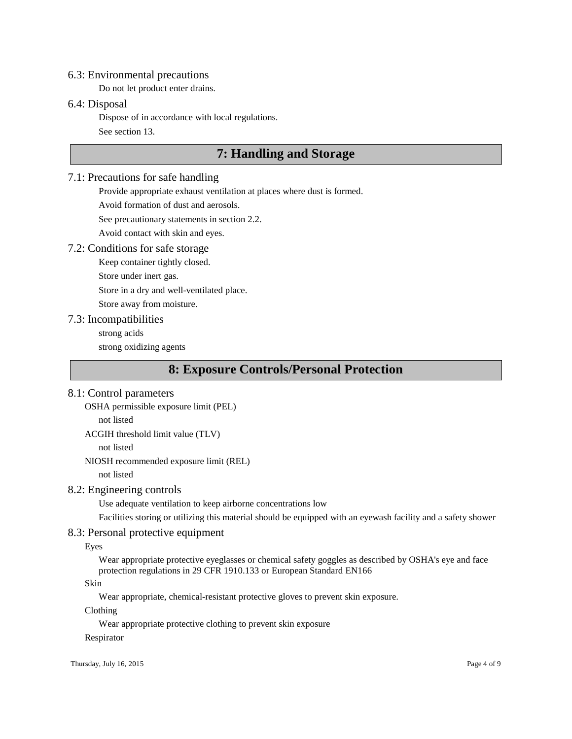#### 6.3: Environmental precautions

Do not let product enter drains.

#### 6.4: Disposal

Dispose of in accordance with local regulations.

See section 13.

# **7: Handling and Storage**

#### 7.1: Precautions for safe handling

Provide appropriate exhaust ventilation at places where dust is formed.

Avoid formation of dust and aerosols.

See precautionary statements in section 2.2.

Avoid contact with skin and eyes.

#### 7.2: Conditions for safe storage

Keep container tightly closed.

Store under inert gas.

Store in a dry and well-ventilated place.

Store away from moisture.

#### 7.3: Incompatibilities

strong acids

strong oxidizing agents

# **8: Exposure Controls/Personal Protection**

#### 8.1: Control parameters

OSHA permissible exposure limit (PEL)

not listed

ACGIH threshold limit value (TLV)

not listed

NIOSH recommended exposure limit (REL) not listed

#### 8.2: Engineering controls

Use adequate ventilation to keep airborne concentrations low

Facilities storing or utilizing this material should be equipped with an eyewash facility and a safety shower

#### 8.3: Personal protective equipment

Eyes

Wear appropriate protective eyeglasses or chemical safety goggles as described by OSHA's eye and face protection regulations in 29 CFR 1910.133 or European Standard EN166

#### Skin

Wear appropriate, chemical-resistant protective gloves to prevent skin exposure.

Clothing

Wear appropriate protective clothing to prevent skin exposure

#### Respirator

Thursday, July 16, 2015 Page 4 of 9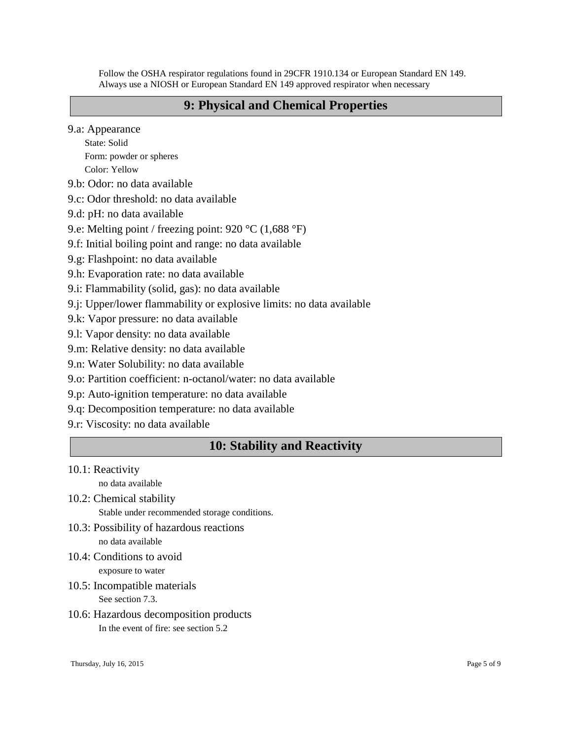Follow the OSHA respirator regulations found in 29CFR 1910.134 or European Standard EN 149. Always use a NIOSH or European Standard EN 149 approved respirator when necessary

#### **9: Physical and Chemical Properties**

9.a: Appearance

State: Solid Form: powder or spheres Color: Yellow

9.b: Odor: no data available

9.c: Odor threshold: no data available

9.d: pH: no data available

9.e: Melting point / freezing point: 920 °C (1,688 °F)

9.f: Initial boiling point and range: no data available

9.g: Flashpoint: no data available

9.h: Evaporation rate: no data available

9.i: Flammability (solid, gas): no data available

9.j: Upper/lower flammability or explosive limits: no data available

9.k: Vapor pressure: no data available

9.l: Vapor density: no data available

9.m: Relative density: no data available

9.n: Water Solubility: no data available

9.o: Partition coefficient: n-octanol/water: no data available

9.p: Auto-ignition temperature: no data available

9.q: Decomposition temperature: no data available

9.r: Viscosity: no data available

# **10: Stability and Reactivity**

10.1: Reactivity

no data available

10.2: Chemical stability Stable under recommended storage conditions.

- 10.3: Possibility of hazardous reactions no data available
- 10.4: Conditions to avoid

exposure to water

10.5: Incompatible materials

See section 7.3.

10.6: Hazardous decomposition products In the event of fire: see section 5.2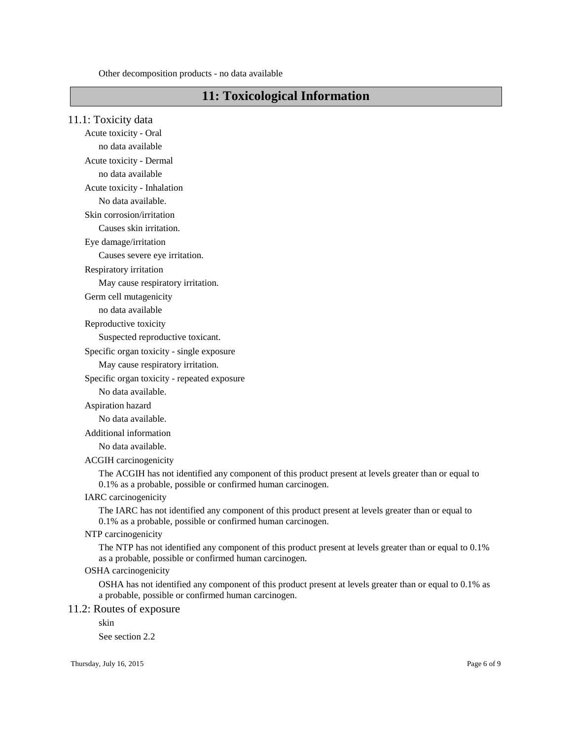Other decomposition products - no data available

# **11: Toxicological Information**

11.1: Toxicity data Acute toxicity - Oral no data available Acute toxicity - Dermal no data available Acute toxicity - Inhalation No data available.

Skin corrosion/irritation

Causes skin irritation.

Eye damage/irritation

Causes severe eye irritation.

Respiratory irritation

May cause respiratory irritation.

Germ cell mutagenicity

no data available

Reproductive toxicity

Suspected reproductive toxicant.

Specific organ toxicity - single exposure

May cause respiratory irritation.

Specific organ toxicity - repeated exposure

No data available.

Aspiration hazard

No data available.

Additional information

No data available.

ACGIH carcinogenicity

The ACGIH has not identified any component of this product present at levels greater than or equal to 0.1% as a probable, possible or confirmed human carcinogen.

#### IARC carcinogenicity

The IARC has not identified any component of this product present at levels greater than or equal to 0.1% as a probable, possible or confirmed human carcinogen.

#### NTP carcinogenicity

The NTP has not identified any component of this product present at levels greater than or equal to 0.1% as a probable, possible or confirmed human carcinogen.

#### OSHA carcinogenicity

OSHA has not identified any component of this product present at levels greater than or equal to 0.1% as a probable, possible or confirmed human carcinogen.

#### 11.2: Routes of exposure

skin

See section 2.2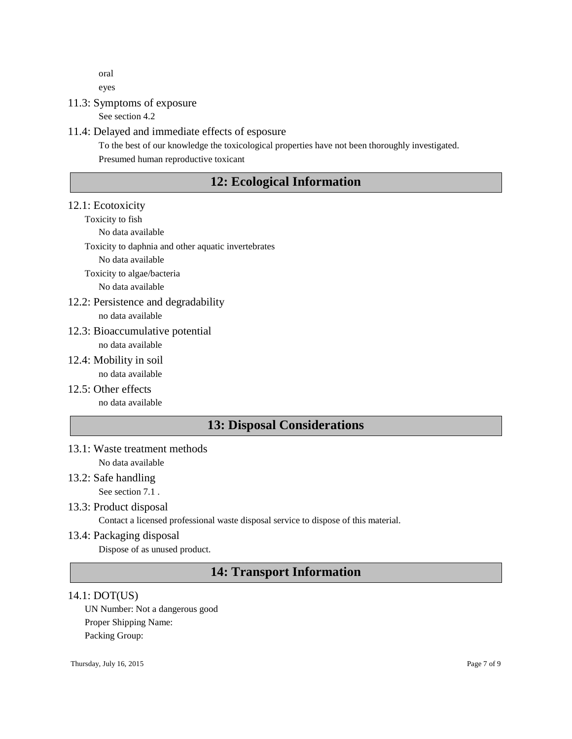oral

eyes

### 11.3: Symptoms of exposure

See section 4.2

#### 11.4: Delayed and immediate effects of esposure

To the best of our knowledge the toxicological properties have not been thoroughly investigated. Presumed human reproductive toxicant

# **12: Ecological Information**

#### 12.1: Ecotoxicity

Toxicity to fish

No data available

Toxicity to daphnia and other aquatic invertebrates

No data available

Toxicity to algae/bacteria

No data available

12.2: Persistence and degradability no data available

#### 12.3: Bioaccumulative potential no data available

- 12.4: Mobility in soil no data available
- 12.5: Other effects no data available

# **13: Disposal Considerations**

- 13.1: Waste treatment methods No data available
- 13.2: Safe handling

See section 7.1 .

- 13.3: Product disposal Contact a licensed professional waste disposal service to dispose of this material.
- 13.4: Packaging disposal

Dispose of as unused product.

# **14: Transport Information**

#### 14.1: DOT(US)

UN Number: Not a dangerous good Proper Shipping Name: Packing Group: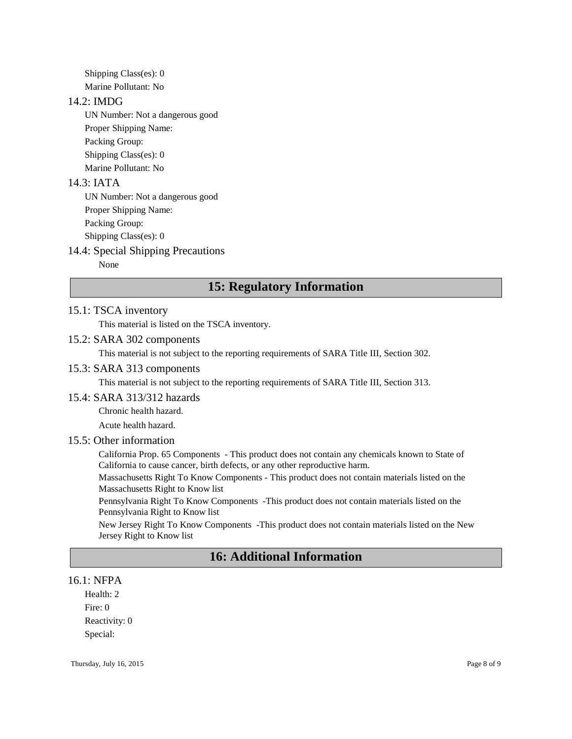Shipping Class(es): 0 Marine Pollutant: No

#### 14.2: IMDG

UN Number: Not a dangerous good Proper Shipping Name: Packing Group: Shipping Class(es): 0 Marine Pollutant: No

#### 14.3: IATA

UN Number: Not a dangerous good Proper Shipping Name: Packing Group: Shipping Class(es): 0

#### 14.4: Special Shipping Precautions

None

# **15: Regulatory Information**

#### 15.1: TSCA inventory

This material is listed on the TSCA inventory.

#### 15.2: SARA 302 components

This material is not subject to the reporting requirements of SARA Title III, Section 302.

#### 15.3: SARA 313 components

This material is not subject to the reporting requirements of SARA Title III, Section 313.

#### 15.4: SARA 313/312 hazards

Chronic health hazard.

Acute health hazard.

#### 15.5: Other information

California Prop. 65 Components - This product does not contain any chemicals known to State of California to cause cancer, birth defects, or any other reproductive harm.

Massachusetts Right To Know Components - This product does not contain materials listed on the Massachusetts Right to Know list

Pennsylvania Right To Know Components -This product does not contain materials listed on the Pennsylvania Right to Know list

New Jersey Right To Know Components -This product does not contain materials listed on the New Jersey Right to Know list

# **16: Additional Information**

#### 16.1: NFPA

Health: 2 Fire: 0 Reactivity: 0 Special: